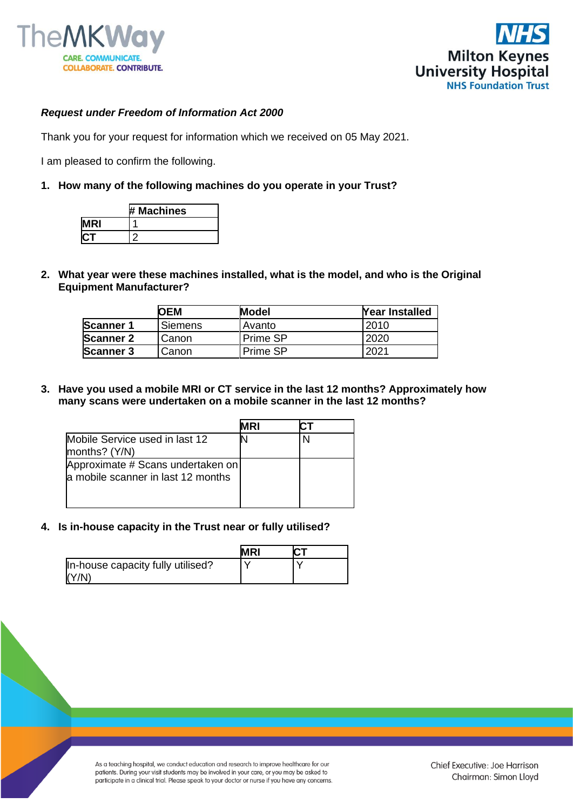



## *Request under Freedom of Information Act 2000*

Thank you for your request for information which we received on 05 May 2021.

I am pleased to confirm the following.

## **1. How many of the following machines do you operate in your Trust?**

|    | <b>Machines</b><br>₩. |
|----|-----------------------|
| ?। |                       |
|    |                       |

**2. What year were these machines installed, what is the model, and who is the Original Equipment Manufacturer?**

|                  | OEM            | <b>Model</b>    | <b>Year Installed</b> |
|------------------|----------------|-----------------|-----------------------|
| <b>Scanner 1</b> | <b>Siemens</b> | <b>Avanto</b>   | 2010                  |
| <b>Scanner 2</b> | Canon          | <b>Prime SP</b> | 2020                  |
| <b>Scanner 3</b> | Canon          | l Prime SP      | 2021                  |

**3. Have you used a mobile MRI or CT service in the last 12 months? Approximately how many scans were undertaken on a mobile scanner in the last 12 months?**

|                                                                         | MRI |  |
|-------------------------------------------------------------------------|-----|--|
| Mobile Service used in last 12<br>months? (Y/N)                         |     |  |
| Approximate # Scans undertaken on<br>a mobile scanner in last 12 months |     |  |

**4. Is in-house capacity in the Trust near or fully utilised?**

|                                            | <b>MRI</b> |  |
|--------------------------------------------|------------|--|
| In-house capacity fully utilised?<br>(Y/N) |            |  |